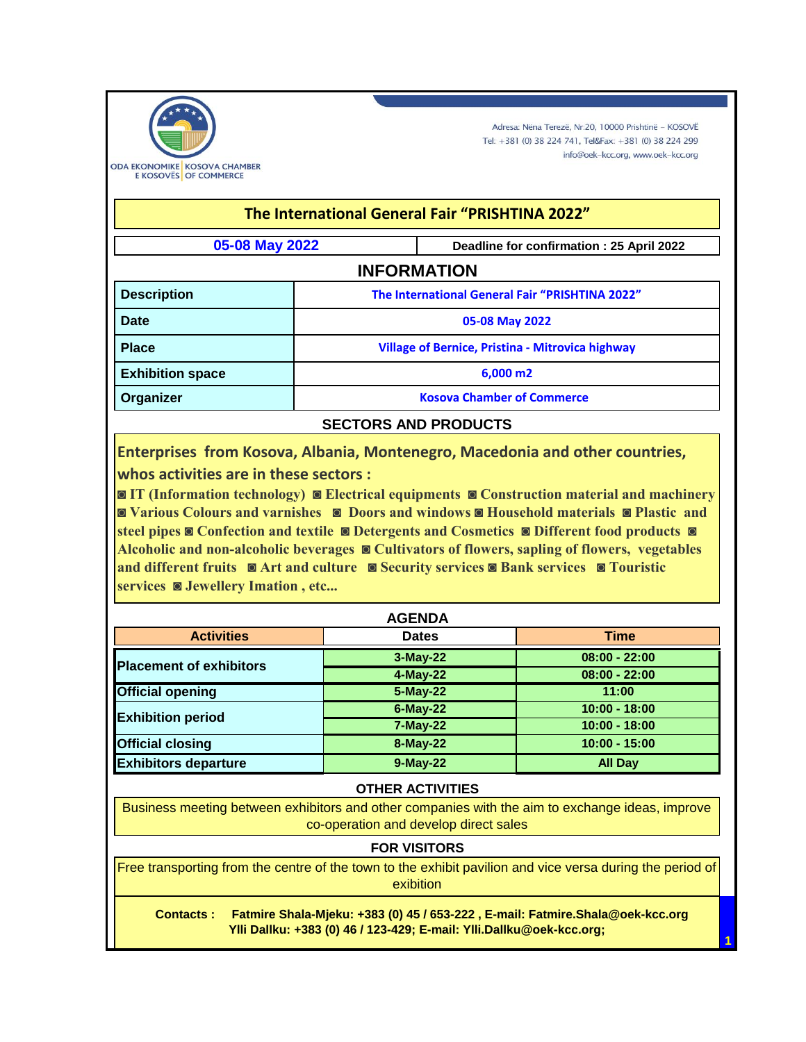

Adresa: Nëna Terezë, Nr:20, 10000 Prishtinë - KOSOVË Tel: +381 (0) 38 224 741, Tel&Fax: +381 (0) 38 224 299 info@oek-kcc.org, www.oek-kcc.org

| The International General Fair "PRISHTINA 2022" |                                                         |                                          |  |  |  |  |
|-------------------------------------------------|---------------------------------------------------------|------------------------------------------|--|--|--|--|
| 05-08 May 2022                                  |                                                         | Deadline for confirmation: 25 April 2022 |  |  |  |  |
| <b>INFORMATION</b>                              |                                                         |                                          |  |  |  |  |
| <b>Description</b>                              | The International General Fair "PRISHTINA 2022"         |                                          |  |  |  |  |
| Date                                            | 05-08 May 2022                                          |                                          |  |  |  |  |
| <b>Place</b>                                    | <b>Village of Bernice, Pristina - Mitrovica highway</b> |                                          |  |  |  |  |
| <b>Exhibition space</b>                         | $6,000 \, \text{m}$                                     |                                          |  |  |  |  |
| Organizer                                       | <b>Kosova Chamber of Commerce</b>                       |                                          |  |  |  |  |
| <b>SECTORS AND PRODUCTS</b>                     |                                                         |                                          |  |  |  |  |

**Enterprises from Kosova, Albania, Montenegro, Macedonia and other countries, whos activities are in these sectors :** 

**◙ IT (Information technology) ◙ Electrical equipments ◙ Construction material and machinery ◙ Various Colours and varnishes ◙ Doors and windows ◙ Household materials ◙ Plastic and steel pipes ◙ Confection and textile ◙ Detergents and Cosmetics ◙ Different food products ◙ Alcoholic and non-alcoholic beverages ◙ Cultivators of flowers, sapling of flowers, vegetables and different fruits ◙ Art and culture ◙ Security services ◙ Bank services ◙ Touristic services ◙ Jewellery Imation , etc...**

| <b>AGENDA</b>                  |              |                 |  |  |  |  |
|--------------------------------|--------------|-----------------|--|--|--|--|
| <b>Activities</b>              | <b>Dates</b> | <b>Time</b>     |  |  |  |  |
| <b>Placement of exhibitors</b> | 3-May-22     | $08:00 - 22:00$ |  |  |  |  |
|                                | 4-May-22     | $08:00 - 22:00$ |  |  |  |  |
| <b>Official opening</b>        | 5-May-22     | 11:00           |  |  |  |  |
| <b>Exhibition period</b>       | $6$ -May-22  | $10:00 - 18:00$ |  |  |  |  |
|                                | $7-May-22$   | $10:00 - 18:00$ |  |  |  |  |
| <b>Official closing</b>        | 8-May-22     | $10:00 - 15:00$ |  |  |  |  |
| <b>Exhibitors departure</b>    | 9-May-22     | <b>All Day</b>  |  |  |  |  |

#### **OTHER ACTIVITIES**

Business meeting between exhibitors and other companies with the aim to exchange ideas, improve co-operation and develop direct sales

### **FOR VISITORS**

Free transporting from the centre of the town to the exhibit pavilion and vice versa during the period of exibition

 **Contacts : Fatmire Shala-Mjeku: +383 (0) 45 / 653-222 , E-mail: Fatmire.Shala@oek-kcc.org Ylli Dallku: +383 (0) 46 / 123-429; E-mail: Ylli.Dallku@oek-kcc.org;**